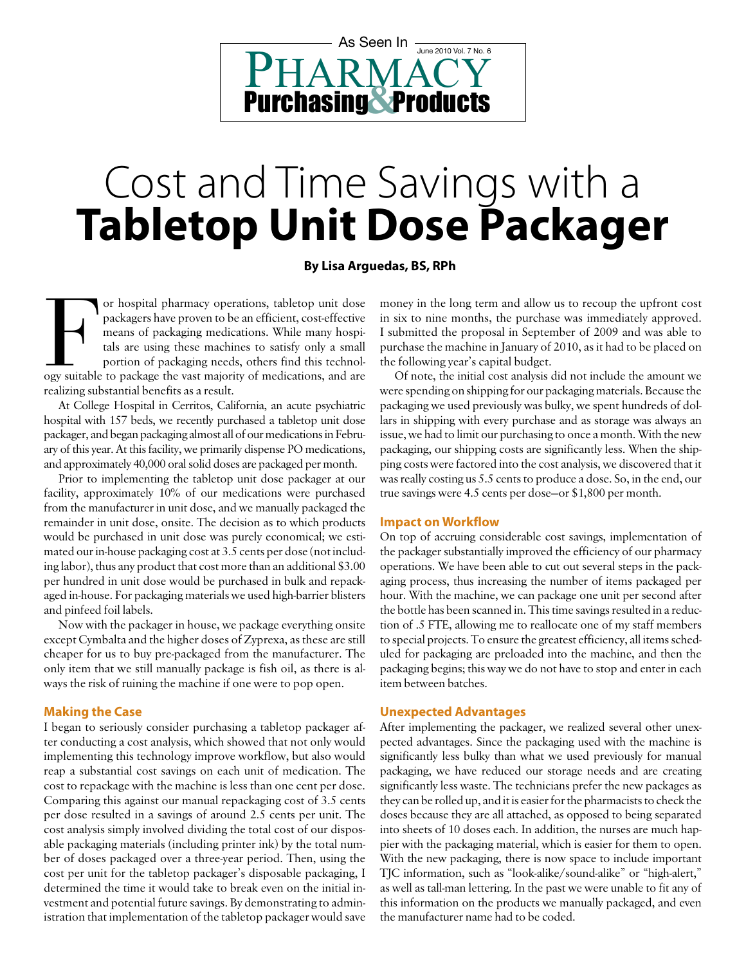## PHARMACY Purchasing Products **&** As Seen In <del>June 2010 Vol. 7 No. 6</del>

# Cost and Time Savings with a **Tabletop Unit Dose Packager**

#### **By Lisa Arguedas, BS, RPh**

or hospital pharmacy operations, tabletop unit dose<br>packagers have proven to be an efficient, cost-effective<br>means of packaging medications. While many hospi-<br>tals are using these machines to satisfy only a small<br>portion o packagers have proven to be an efficient, cost-effective means of packaging medications. While many hospitals are using these machines to satisfy only a small portion of packaging needs, others find this technology suitable to package the vast majority of medications, and are realizing substantial benefits as a result.

At College Hospital in Cerritos, California, an acute psychiatric hospital with 157 beds, we recently purchased a tabletop unit dose packager, and began packaging almost all of our medications in February of this year. At this facility, we primarily dispense PO medications, and approximately 40,000 oral solid doses are packaged per month.

Prior to implementing the tabletop unit dose packager at our facility, approximately 10% of our medications were purchased from the manufacturer in unit dose, and we manually packaged the remainder in unit dose, onsite. The decision as to which products would be purchased in unit dose was purely economical; we estimated our in-house packaging cost at 3.5 cents per dose (not including labor), thus any product that cost more than an additional \$3.00 per hundred in unit dose would be purchased in bulk and repackaged in-house. For packaging materials we used high-barrier blisters and pinfeed foil labels.

Now with the packager in house, we package everything onsite except Cymbalta and the higher doses of Zyprexa, as these are still cheaper for us to buy pre-packaged from the manufacturer. The only item that we still manually package is fish oil, as there is always the risk of ruining the machine if one were to pop open.

#### **Making the Case**

I began to seriously consider purchasing a tabletop packager after conducting a cost analysis, which showed that not only would implementing this technology improve workflow, but also would reap a substantial cost savings on each unit of medication. The cost to repackage with the machine is less than one cent per dose. Comparing this against our manual repackaging cost of 3.5 cents per dose resulted in a savings of around 2.5 cents per unit. The cost analysis simply involved dividing the total cost of our disposable packaging materials (including printer ink) by the total number of doses packaged over a three-year period. Then, using the cost per unit for the tabletop packager's disposable packaging, I determined the time it would take to break even on the initial investment and potential future savings. By demonstrating to administration that implementation of the tabletop packager would save

money in the long term and allow us to recoup the upfront cost in six to nine months, the purchase was immediately approved. I submitted the proposal in September of 2009 and was able to purchase the machine in January of 2010, as it had to be placed on the following year's capital budget.

Of note, the initial cost analysis did not include the amount we were spending on shipping for our packaging materials. Because the packaging we used previously was bulky, we spent hundreds of dollars in shipping with every purchase and as storage was always an issue, we had to limit our purchasing to once a month. With the new packaging, our shipping costs are significantly less. When the shipping costs were factored into the cost analysis, we discovered that it was really costing us 5.5 cents to produce a dose. So, in the end, our true savings were 4.5 cents per dose—or \$1,800 per month.

#### **Impact on Workflow**

On top of accruing considerable cost savings, implementation of the packager substantially improved the efficiency of our pharmacy operations. We have been able to cut out several steps in the packaging process, thus increasing the number of items packaged per hour. With the machine, we can package one unit per second after the bottle has been scanned in. This time savings resulted in a reduction of .5 FTE, allowing me to reallocate one of my staff members to special projects. To ensure the greatest efficiency, all items scheduled for packaging are preloaded into the machine, and then the packaging begins; this way we do not have to stop and enter in each item between batches.

#### **Unexpected Advantages**

After implementing the packager, we realized several other unexpected advantages. Since the packaging used with the machine is significantly less bulky than what we used previously for manual packaging, we have reduced our storage needs and are creating significantly less waste. The technicians prefer the new packages as they can be rolled up, and it is easier for the pharmacists to check the doses because they are all attached, as opposed to being separated into sheets of 10 doses each. In addition, the nurses are much happier with the packaging material, which is easier for them to open. With the new packaging, there is now space to include important TJC information, such as "look-alike/sound-alike" or "high-alert," as well as tall-man lettering. In the past we were unable to fit any of this information on the products we manually packaged, and even the manufacturer name had to be coded.